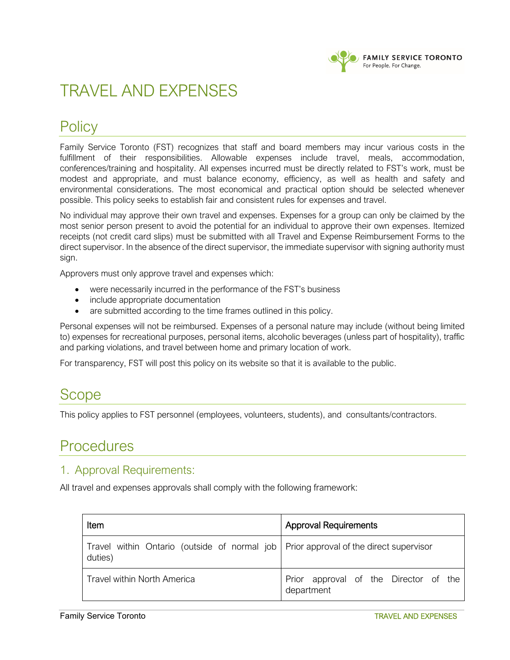

# TRAVEL AND EXPENSES

## **Policy**

Family Service Toronto (FST) recognizes that staff and board members may incur various costs in the fulfillment of their responsibilities. Allowable expenses include travel, meals, accommodation, conferences/training and hospitality. All expenses incurred must be directly related to FST's work, must be modest and appropriate, and must balance economy, efficiency, as well as health and safety and environmental considerations. The most economical and practical option should be selected whenever possible. This policy seeks to establish fair and consistent rules for expenses and travel.

No individual may approve their own travel and expenses. Expenses for a group can only be claimed by the most senior person present to avoid the potential for an individual to approve their own expenses. Itemized receipts (not credit card slips) must be submitted with all Travel and Expense Reimbursement Forms to the direct supervisor. In the absence of the direct supervisor, the immediate supervisor with signing authority must sign.

Approvers must only approve travel and expenses which:

- were necessarily incurred in the performance of the FST's business
- include appropriate documentation
- are submitted according to the time frames outlined in this policy.

Personal expenses will not be reimbursed. Expenses of a personal nature may include (without being limited to) expenses for recreational purposes, personal items, alcoholic beverages (unless part of hospitality), traffic and parking violations, and travel between home and primary location of work.

For transparency, FST will post this policy on its website so that it is available to the public.

### **Scope**

This policy applies to FST personnel (employees, volunteers, students), and consultants/contractors.

### **Procedures**

#### 1. Approval Requirements:

All travel and expenses approvals shall comply with the following framework:

| Item                                                                                              | <b>Approval Requirements</b>                        |
|---------------------------------------------------------------------------------------------------|-----------------------------------------------------|
| Travel within Ontario (outside of normal job   Prior approval of the direct supervisor<br>duties) |                                                     |
| <b>Travel within North America</b>                                                                | Prior approval of the Director of the<br>department |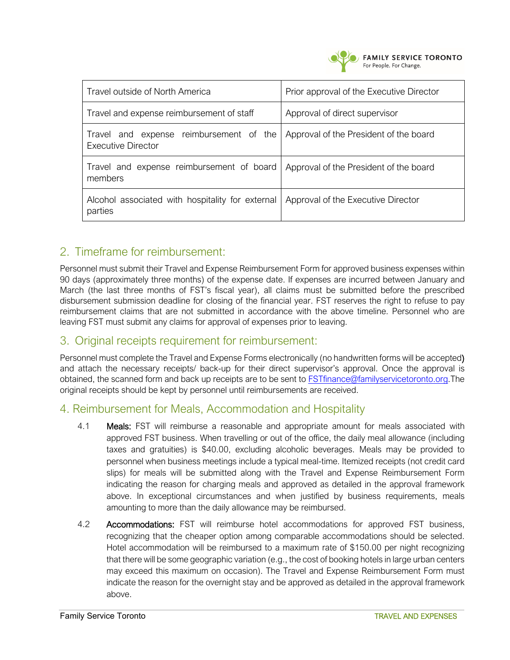

| Travel outside of North America                                      | Prior approval of the Executive Director |
|----------------------------------------------------------------------|------------------------------------------|
| Travel and expense reimbursement of staff                            | Approval of direct supervisor            |
| Travel and expense reimbursement of the<br><b>Executive Director</b> | Approval of the President of the board   |
| Travel and expense reimbursement of board<br>members                 | Approval of the President of the board   |
| Alcohol associated with hospitality for external<br>parties          | Approval of the Executive Director       |

#### 2. Timeframe for reimbursement:

Personnel must submit their Travel and Expense Reimbursement Form for approved business expenses within 90 days (approximately three months) of the expense date. If expenses are incurred between January and March (the last three months of FST's fiscal year), all claims must be submitted before the prescribed disbursement submission deadline for closing of the financial year. FST reserves the right to refuse to pay reimbursement claims that are not submitted in accordance with the above timeline. Personnel who are leaving FST must submit any claims for approval of expenses prior to leaving.

#### 3. Original receipts requirement for reimbursement:

Personnel must complete the Travel and Expense Forms electronically (no handwritten forms will be accepted) and attach the necessary receipts/ back-up for their direct supervisor's approval. Once the approval is obtained, the scanned form and back up receipts are to be sent to **FSTfinance@familyservicetoronto.org**. The original receipts should be kept by personnel until reimbursements are received.

#### 4. Reimbursement for Meals, Accommodation and Hospitality

- 4.1 **Meals:** FST will reimburse a reasonable and appropriate amount for meals associated with approved FST business. When travelling or out of the office, the daily meal allowance (including taxes and gratuities) is \$40.00, excluding alcoholic beverages. Meals may be provided to personnel when business meetings include a typical meal-time. Itemized receipts (not credit card slips) for meals will be submitted along with the Travel and Expense Reimbursement Form indicating the reason for charging meals and approved as detailed in the approval framework above. In exceptional circumstances and when justified by business requirements, meals amounting to more than the daily allowance may be reimbursed.
- 4.2 Accommodations: FST will reimburse hotel accommodations for approved FST business, recognizing that the cheaper option among comparable accommodations should be selected. Hotel accommodation will be reimbursed to a maximum rate of \$150.00 per night recognizing that there will be some geographic variation (e.g., the cost of booking hotels in large urban centers may exceed this maximum on occasion). The Travel and Expense Reimbursement Form must indicate the reason for the overnight stay and be approved as detailed in the approval framework above.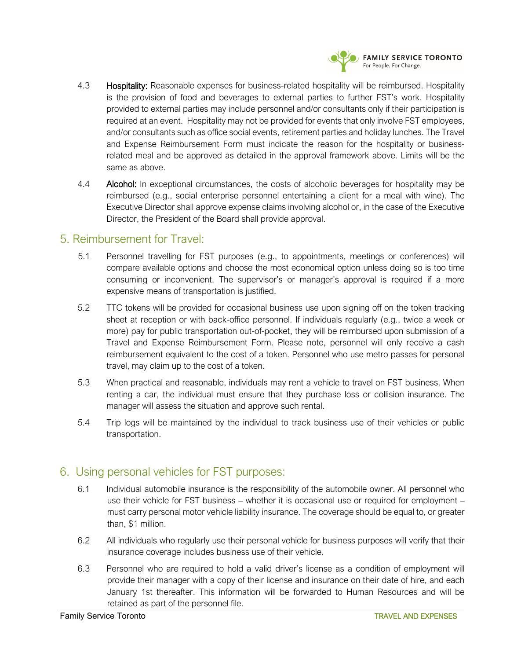

- 4.3 **Hospitality:** Reasonable expenses for business-related hospitality will be reimbursed. Hospitality is the provision of food and beverages to external parties to further FST's work. Hospitality provided to external parties may include personnel and/or consultants only if their participation is required at an event. Hospitality may not be provided for events that only involve FST employees, and/or consultants such as office social events, retirement parties and holiday lunches. The Travel and Expense Reimbursement Form must indicate the reason for the hospitality or businessrelated meal and be approved as detailed in the approval framework above. Limits will be the same as above.
- 4.4 **Alcohol:** In exceptional circumstances, the costs of alcoholic beverages for hospitality may be reimbursed (e.g., social enterprise personnel entertaining a client for a meal with wine). The Executive Director shall approve expense claims involving alcohol or, in the case of the Executive Director, the President of the Board shall provide approval.

#### 5. Reimbursement for Travel:

- 5.1 Personnel travelling for FST purposes (e.g., to appointments, meetings or conferences) will compare available options and choose the most economical option unless doing so is too time consuming or inconvenient. The supervisor's or manager's approval is required if a more expensive means of transportation is justified.
- 5.2 TTC tokens will be provided for occasional business use upon signing off on the token tracking sheet at reception or with back-office personnel. If individuals regularly (e.g., twice a week or more) pay for public transportation out-of-pocket, they will be reimbursed upon submission of a Travel and Expense Reimbursement Form. Please note, personnel will only receive a cash reimbursement equivalent to the cost of a token. Personnel who use metro passes for personal travel, may claim up to the cost of a token.
- 5.3 When practical and reasonable, individuals may rent a vehicle to travel on FST business. When renting a car, the individual must ensure that they purchase loss or collision insurance. The manager will assess the situation and approve such rental.
- 5.4 Trip logs will be maintained by the individual to track business use of their vehicles or public transportation.

#### 6. Using personal vehicles for FST purposes:

- 6.1 Individual automobile insurance is the responsibility of the automobile owner. All personnel who use their vehicle for FST business – whether it is occasional use or required for employment – must carry personal motor vehicle liability insurance. The coverage should be equal to, or greater than, \$1 million.
- 6.2 All individuals who regularly use their personal vehicle for business purposes will verify that their insurance coverage includes business use of their vehicle.
- 6.3 Personnel who are required to hold a valid driver's license as a condition of employment will provide their manager with a copy of their license and insurance on their date of hire, and each January 1st thereafter. This information will be forwarded to Human Resources and will be retained as part of the personnel file.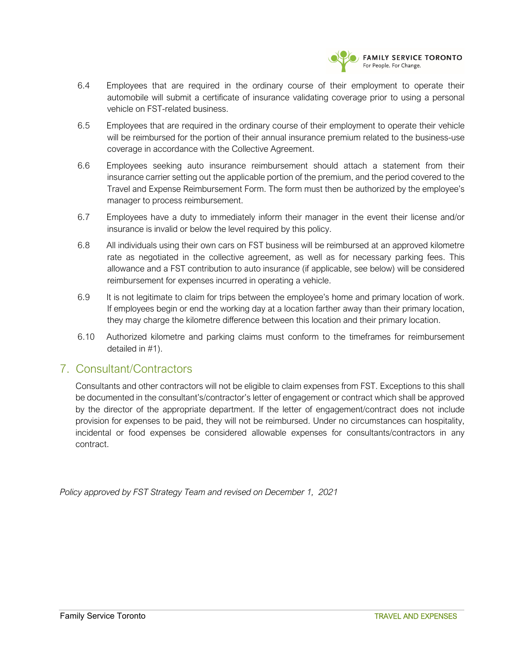

- 6.4 Employees that are required in the ordinary course of their employment to operate their automobile will submit a certificate of insurance validating coverage prior to using a personal vehicle on FST-related business.
- 6.5 Employees that are required in the ordinary course of their employment to operate their vehicle will be reimbursed for the portion of their annual insurance premium related to the business-use coverage in accordance with the Collective Agreement.
- 6.6 Employees seeking auto insurance reimbursement should attach a statement from their insurance carrier setting out the applicable portion of the premium, and the period covered to the Travel and Expense Reimbursement Form. The form must then be authorized by the employee's manager to process reimbursement.
- 6.7 Employees have a duty to immediately inform their manager in the event their license and/or insurance is invalid or below the level required by this policy.
- 6.8 All individuals using their own cars on FST business will be reimbursed at an approved kilometre rate as negotiated in the collective agreement, as well as for necessary parking fees. This allowance and a FST contribution to auto insurance (if applicable, see below) will be considered reimbursement for expenses incurred in operating a vehicle.
- 6.9 It is not legitimate to claim for trips between the employee's home and primary location of work. If employees begin or end the working day at a location farther away than their primary location, they may charge the kilometre difference between this location and their primary location.
- 6.10 Authorized kilometre and parking claims must conform to the timeframes for reimbursement detailed in #1).

#### 7. Consultant/Contractors

Consultants and other contractors will not be eligible to claim expenses from FST. Exceptions to this shall be documented in the consultant's/contractor's letter of engagement or contract which shall be approved by the director of the appropriate department. If the letter of engagement/contract does not include provision for expenses to be paid, they will not be reimbursed. Under no circumstances can hospitality, incidental or food expenses be considered allowable expenses for consultants/contractors in any contract.

*Policy approved by FST Strategy Team and revised on December 1, 2021*